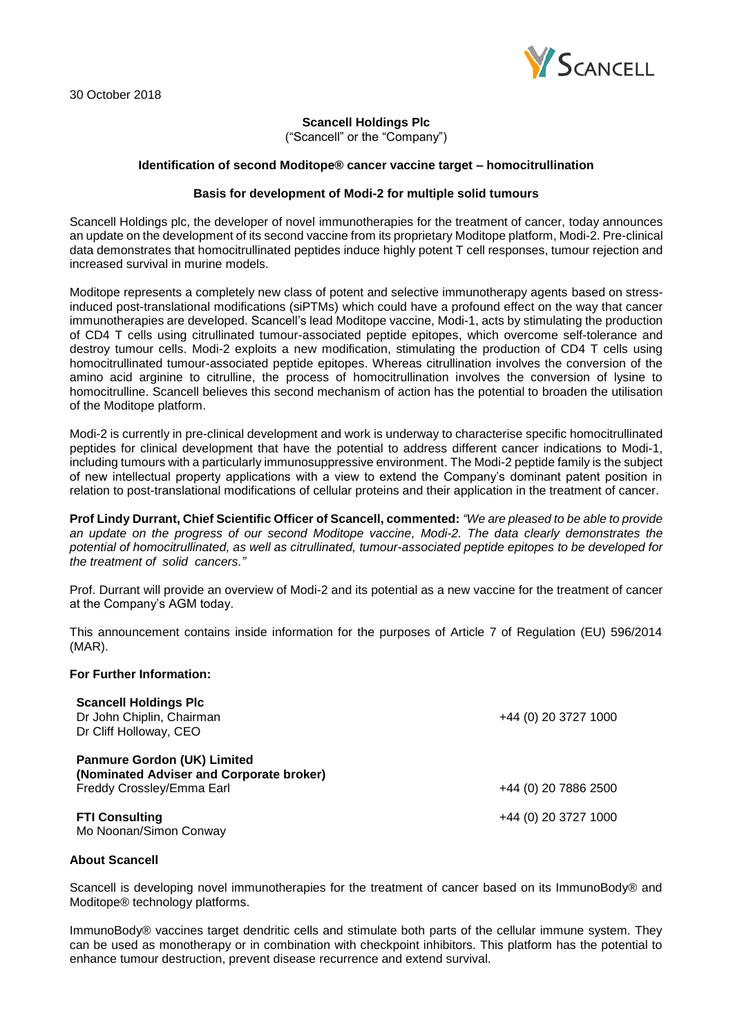

# **Scancell Holdings Plc**

("Scancell" or the "Company")

### **Identification of second Moditope® cancer vaccine target – homocitrullination**

### **Basis for development of Modi-2 for multiple solid tumours**

Scancell Holdings plc, the developer of novel immunotherapies for the treatment of cancer, today announces an update on the development of its second vaccine from its proprietary Moditope platform, Modi-2. Pre-clinical data demonstrates that homocitrullinated peptides induce highly potent T cell responses, tumour rejection and increased survival in murine models.

Moditope represents a completely new class of potent and selective immunotherapy agents based on stressinduced post-translational modifications (siPTMs) which could have a profound effect on the way that cancer immunotherapies are developed. Scancell's lead Moditope vaccine, Modi-1, acts by stimulating the production of CD4 T cells using citrullinated tumour-associated peptide epitopes, which overcome self-tolerance and destroy tumour cells. Modi-2 exploits a new modification, stimulating the production of CD4 T cells using homocitrullinated tumour-associated peptide epitopes. Whereas citrullination involves the conversion of the amino acid arginine to citrulline, the process of homocitrullination involves the conversion of lysine to homocitrulline. Scancell believes this second mechanism of action has the potential to broaden the utilisation of the Moditope platform.

Modi-2 is currently in pre-clinical development and work is underway to characterise specific homocitrullinated peptides for clinical development that have the potential to address different cancer indications to Modi-1, including tumours with a particularly immunosuppressive environment. The Modi-2 peptide family is the subject of new intellectual property applications with a view to extend the Company's dominant patent position in relation to post-translational modifications of cellular proteins and their application in the treatment of cancer.

**Prof Lindy Durrant, Chief Scientific Officer of Scancell, commented:** *"We are pleased to be able to provide an update on the progress of our second Moditope vaccine, Modi-2. The data clearly demonstrates the potential of homocitrullinated, as well as citrullinated, tumour-associated peptide epitopes to be developed for the treatment of solid cancers."*

Prof. Durrant will provide an overview of Modi-2 and its potential as a new vaccine for the treatment of cancer at the Company's AGM today.

This announcement contains inside information for the purposes of Article 7 of Regulation (EU) 596/2014 (MAR).

### **For Further Information:**

| <b>Scancell Holdings Plc</b><br>Dr John Chiplin, Chairman<br>Dr Cliff Holloway, CEO                         | +44 (0) 20 3727 1000 |
|-------------------------------------------------------------------------------------------------------------|----------------------|
| <b>Panmure Gordon (UK) Limited</b><br>(Nominated Adviser and Corporate broker)<br>Freddy Crossley/Emma Earl | +44 (0) 20 7886 2500 |
| <b>FTI Consulting</b><br>Mo Noonan/Simon Conway                                                             | +44 (0) 20 3727 1000 |

## **About Scancell**

Scancell is developing novel immunotherapies for the treatment of cancer based on its ImmunoBody® and Moditope® technology platforms.

ImmunoBody® vaccines target dendritic cells and stimulate both parts of the cellular immune system. They can be used as monotherapy or in combination with checkpoint inhibitors. This platform has the potential to enhance tumour destruction, prevent disease recurrence and extend survival.